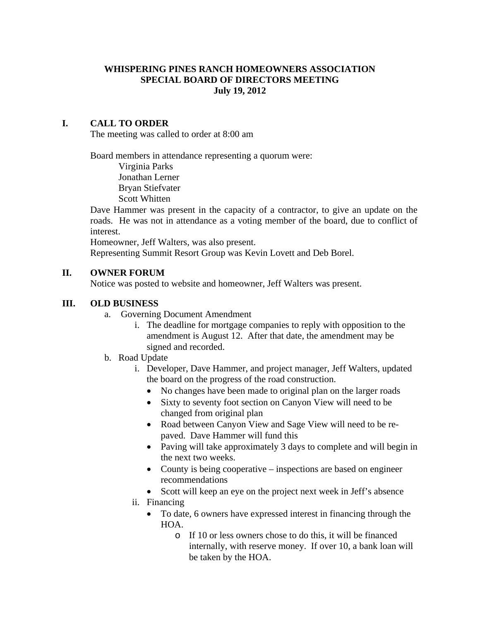# **WHISPERING PINES RANCH HOMEOWNERS ASSOCIATION SPECIAL BOARD OF DIRECTORS MEETING July 19, 2012**

### **I. CALL TO ORDER**

The meeting was called to order at 8:00 am

Board members in attendance representing a quorum were:

 Virginia Parks Jonathan Lerner Bryan Stiefvater Scott Whitten

Dave Hammer was present in the capacity of a contractor, to give an update on the roads. He was not in attendance as a voting member of the board, due to conflict of interest.

Homeowner, Jeff Walters, was also present.

Representing Summit Resort Group was Kevin Lovett and Deb Borel.

### **II. OWNER FORUM**

Notice was posted to website and homeowner, Jeff Walters was present.

### **III. OLD BUSINESS**

- a. Governing Document Amendment
	- i. The deadline for mortgage companies to reply with opposition to the amendment is August 12. After that date, the amendment may be signed and recorded.
- b. Road Update
	- i. Developer, Dave Hammer, and project manager, Jeff Walters, updated the board on the progress of the road construction.
		- No changes have been made to original plan on the larger roads
		- Sixty to seventy foot section on Canyon View will need to be changed from original plan
		- Road between Canyon View and Sage View will need to be repaved. Dave Hammer will fund this
		- Paving will take approximately 3 days to complete and will begin in the next two weeks.
		- County is being cooperative inspections are based on engineer recommendations
		- Scott will keep an eye on the project next week in Jeff's absence
	- ii. Financing
		- To date, 6 owners have expressed interest in financing through the HOA.
			- o If 10 or less owners chose to do this, it will be financed internally, with reserve money. If over 10, a bank loan will be taken by the HOA.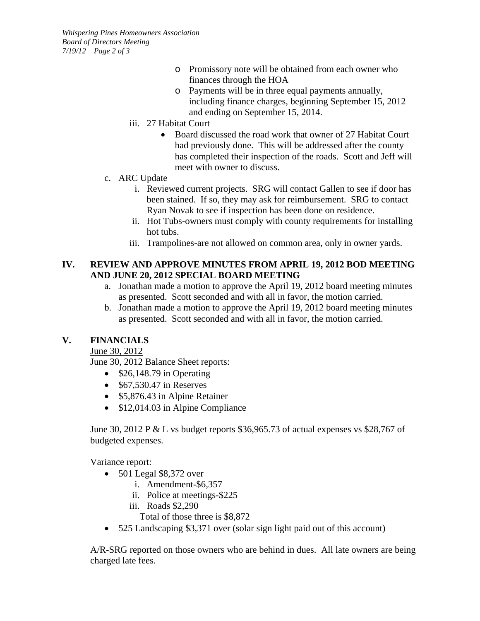*Whispering Pines Homeowners Association Board of Directors Meeting 7/19/12 Page 2 of 3* 

- o Promissory note will be obtained from each owner who finances through the HOA
- o Payments will be in three equal payments annually, including finance charges, beginning September 15, 2012 and ending on September 15, 2014.
- iii. 27 Habitat Court
	- Board discussed the road work that owner of 27 Habitat Court had previously done. This will be addressed after the county has completed their inspection of the roads. Scott and Jeff will meet with owner to discuss.
- c. ARC Update
	- i. Reviewed current projects. SRG will contact Gallen to see if door has been stained. If so, they may ask for reimbursement. SRG to contact Ryan Novak to see if inspection has been done on residence.
	- ii. Hot Tubs-owners must comply with county requirements for installing hot tubs.
	- iii. Trampolines-are not allowed on common area, only in owner yards.

# **IV. REVIEW AND APPROVE MINUTES FROM APRIL 19, 2012 BOD MEETING AND JUNE 20, 2012 SPECIAL BOARD MEETING**

- a. Jonathan made a motion to approve the April 19, 2012 board meeting minutes as presented. Scott seconded and with all in favor, the motion carried.
- b. Jonathan made a motion to approve the April 19, 2012 board meeting minutes as presented. Scott seconded and with all in favor, the motion carried.

# **V. FINANCIALS**

June 30, 2012

June 30, 2012 Balance Sheet reports:

- $\bullet$  \$26,148.79 in Operating
- $\bullet$  \$67,530.47 in Reserves
- \$5,876.43 in Alpine Retainer
- \$12,014.03 in Alpine Compliance

June 30, 2012 P & L vs budget reports \$36,965.73 of actual expenses vs \$28,767 of budgeted expenses.

Variance report:

- $\bullet$  501 Legal \$8,372 over
	- i. Amendment-\$6,357
	- ii. Police at meetings-\$225
	- iii. Roads \$2,290

Total of those three is \$8,872

525 Landscaping \$3,371 over (solar sign light paid out of this account)

A/R-SRG reported on those owners who are behind in dues. All late owners are being charged late fees.